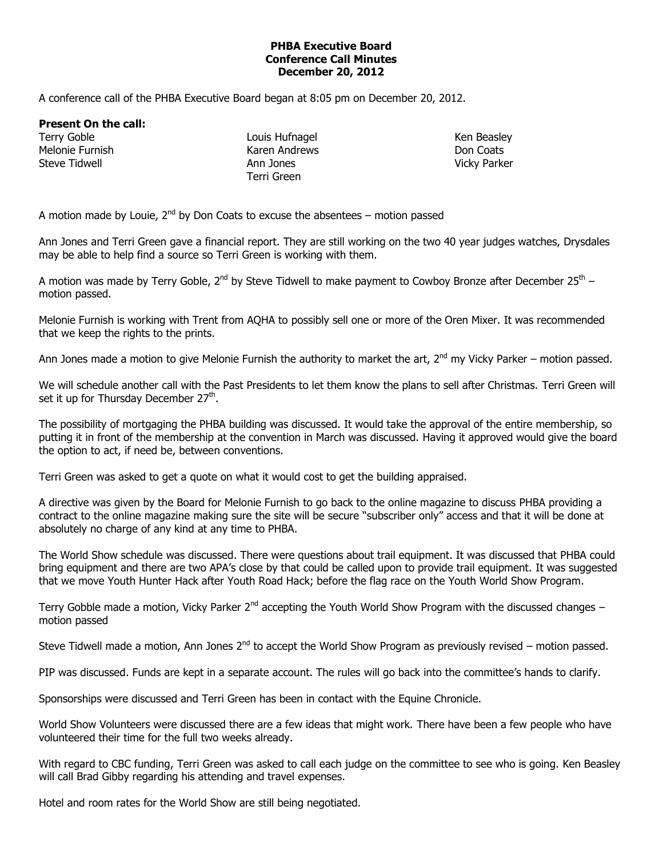## **PHBA Executive Board Conference Call Minutes December 20, 2012**

A conference call of the PHBA Executive Board began at 8:05 pm on December 20, 2012.

**Present On the call:**

Terry Goble Melonie Furnish Steve Tidwell

Louis Hufnagel Karen Andrews Ann Jones Terri Green

Ken Beasley Don Coats Vicky Parker

A motion made by Louie,  $2^{nd}$  by Don Coats to excuse the absentees – motion passed

Ann Jones and Terri Green gave a financial report. They are still working on the two 40 year judges watches, Drysdales may be able to help find a source so Terri Green is working with them.

A motion was made by Terry Goble, 2<sup>nd</sup> by Steve Tidwell to make payment to Cowboy Bronze after December 25<sup>th</sup> – motion passed.

Melonie Furnish is working with Trent from AQHA to possibly sell one or more of the Oren Mixer. It was recommended that we keep the rights to the prints.

Ann Jones made a motion to give Melonie Furnish the authority to market the art,  $2^{nd}$  my Vicky Parker – motion passed.

We will schedule another call with the Past Presidents to let them know the plans to sell after Christmas. Terri Green will set it up for Thursday December 27<sup>th</sup>.

The possibility of mortgaging the PHBA building was discussed. It would take the approval of the entire membership, so putting it in front of the membership at the convention in March was discussed. Having it approved would give the board the option to act, if need be, between conventions.

Terri Green was asked to get a quote on what it would cost to get the building appraised.

A directive was given by the Board for Melonie Furnish to go back to the online magazine to discuss PHBA providing a contract to the online magazine making sure the site will be secure "subscriber only" access and that it will be done at absolutely no charge of any kind at any time to PHBA.

The World Show schedule was discussed. There were questions about trail equipment. It was discussed that PHBA could bring equipment and there are two APA's close by that could be called upon to provide trail equipment. It was suggested that we move Youth Hunter Hack after Youth Road Hack; before the flag race on the Youth World Show Program.

Terry Gobble made a motion, Vicky Parker  $2^{nd}$  accepting the Youth World Show Program with the discussed changes – motion passed

Steve Tidwell made a motion, Ann Jones 2<sup>nd</sup> to accept the World Show Program as previously revised – motion passed.

PIP was discussed. Funds are kept in a separate account. The rules will go back into the committee's hands to clarify.

Sponsorships were discussed and Terri Green has been in contact with the Equine Chronicle.

World Show Volunteers were discussed there are a few ideas that might work. There have been a few people who have volunteered their time for the full two weeks already.

With regard to CBC funding, Terri Green was asked to call each judge on the committee to see who is going. Ken Beasley will call Brad Gibby regarding his attending and travel expenses.

Hotel and room rates for the World Show are still being negotiated.